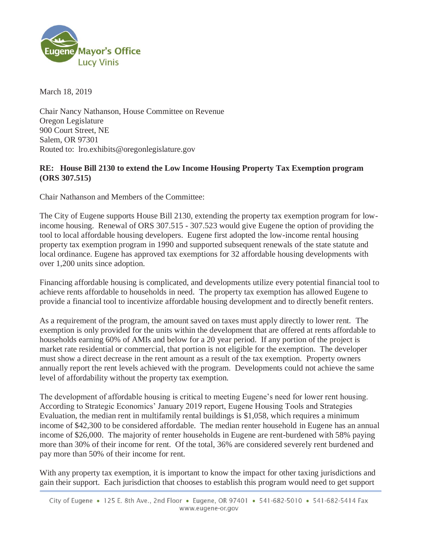

March 18, 2019

Chair Nancy Nathanson, House Committee on Revenue Oregon Legislature 900 Court Street, NE Salem, OR 97301 Routed to: lro.exhibits@oregonlegislature.gov

## **RE: House Bill 2130 to extend the Low Income Housing Property Tax Exemption program (ORS 307.515)**

Chair Nathanson and Members of the Committee:

The City of Eugene supports House Bill 2130, extending the property tax exemption program for lowincome housing. Renewal of ORS 307.515 - 307.523 would give Eugene the option of providing the tool to local affordable housing developers. Eugene first adopted the low-income rental housing property tax exemption program in 1990 and supported subsequent renewals of the state statute and local ordinance. Eugene has approved tax exemptions for 32 affordable housing developments with over 1,200 units since adoption.

Financing affordable housing is complicated, and developments utilize every potential financial tool to achieve rents affordable to households in need. The property tax exemption has allowed Eugene to provide a financial tool to incentivize affordable housing development and to directly benefit renters.

As a requirement of the program, the amount saved on taxes must apply directly to lower rent. The exemption is only provided for the units within the development that are offered at rents affordable to households earning 60% of AMIs and below for a 20 year period. If any portion of the project is market rate residential or commercial, that portion is not eligible for the exemption. The developer must show a direct decrease in the rent amount as a result of the tax exemption. Property owners annually report the rent levels achieved with the program. Developments could not achieve the same level of affordability without the property tax exemption.

The development of affordable housing is critical to meeting Eugene's need for lower rent housing. According to Strategic Economics' January 2019 report, Eugene Housing Tools and Strategies Evaluation, the median rent in multifamily rental buildings is \$1,058, which requires a minimum income of \$42,300 to be considered affordable. The median renter household in Eugene has an annual income of \$26,000. The majority of renter households in Eugene are rent-burdened with 58% paying more than 30% of their income for rent. Of the total, 36% are considered severely rent burdened and pay more than 50% of their income for rent.

With any property tax exemption, it is important to know the impact for other taxing jurisdictions and gain their support. Each jurisdiction that chooses to establish this program would need to get support